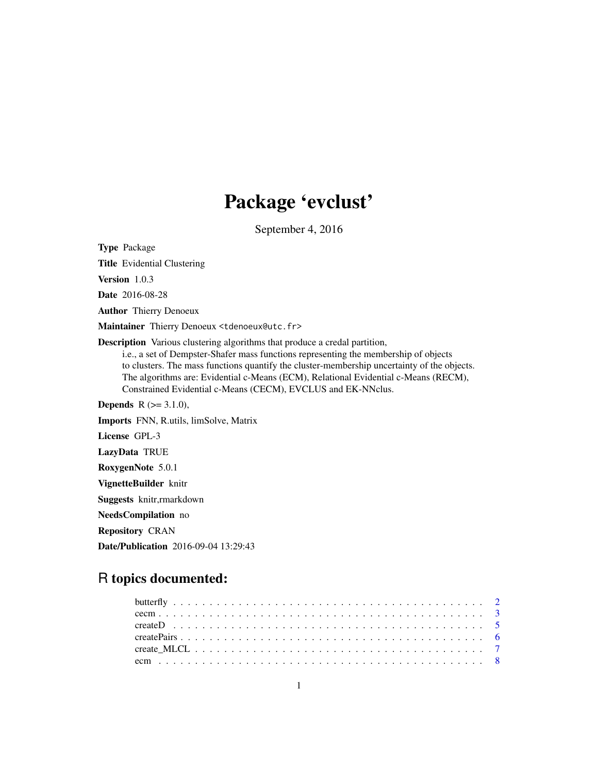# Package 'evclust'

September 4, 2016

<span id="page-0-0"></span>Type Package Title Evidential Clustering Version 1.0.3 Date 2016-08-28 Author Thierry Denoeux Maintainer Thierry Denoeux <tdenoeux@utc.fr> Description Various clustering algorithms that produce a credal partition, i.e., a set of Dempster-Shafer mass functions representing the membership of objects to clusters. The mass functions quantify the cluster-membership uncertainty of the objects. The algorithms are: Evidential c-Means (ECM), Relational Evidential c-Means (RECM), Constrained Evidential c-Means (CECM), EVCLUS and EK-NNclus. **Depends** R  $(>= 3.1.0)$ , Imports FNN, R.utils, limSolve, Matrix License GPL-3 LazyData TRUE RoxygenNote 5.0.1 VignetteBuilder knitr Suggests knitr,rmarkdown NeedsCompilation no Repository CRAN

Date/Publication 2016-09-04 13:29:43

# R topics documented: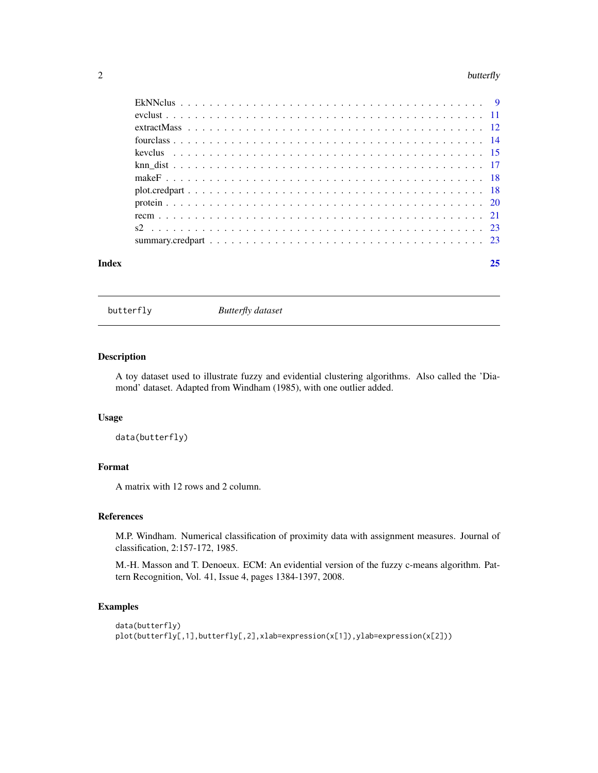#### <span id="page-1-0"></span> $2$  butterfly

| Index | 25 |  |
|-------|----|--|
|       |    |  |
|       |    |  |
|       |    |  |
|       |    |  |
|       |    |  |
|       |    |  |
|       |    |  |
|       |    |  |
|       |    |  |
|       |    |  |
|       |    |  |
|       |    |  |

butterfly *Butterfly dataset*

### Description

A toy dataset used to illustrate fuzzy and evidential clustering algorithms. Also called the 'Diamond' dataset. Adapted from Windham (1985), with one outlier added.

# Usage

data(butterfly)

# Format

A matrix with 12 rows and 2 column.

# References

M.P. Windham. Numerical classification of proximity data with assignment measures. Journal of classification, 2:157-172, 1985.

M.-H. Masson and T. Denoeux. ECM: An evidential version of the fuzzy c-means algorithm. Pattern Recognition, Vol. 41, Issue 4, pages 1384-1397, 2008.

```
data(butterfly)
plot(butterfly[,1],butterfly[,2],xlab=expression(x[1]),ylab=expression(x[2]))
```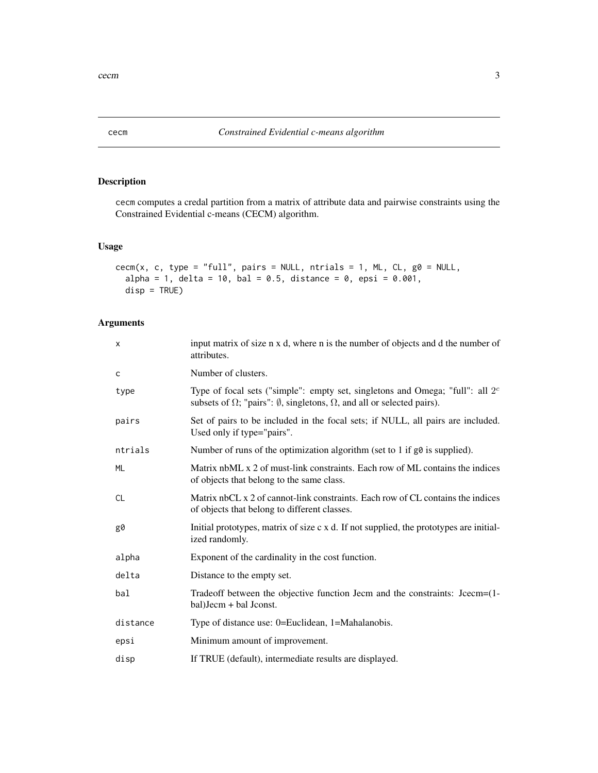<span id="page-2-1"></span><span id="page-2-0"></span>

cecm computes a credal partition from a matrix of attribute data and pairwise constraints using the Constrained Evidential c-means (CECM) algorithm.

# Usage

```
cecm(x, c, type = "full", pairs = NULL, ntrials = 1, ML, CL, g0 = NULL,
  alpha = 1, delta = 10, bal = 0.5, distance = 0, epsi = 0.001,
 disp = TRUE)
```
# Arguments

| X         | input matrix of size n x d, where n is the number of objects and d the number of<br>attributes.                                                                                    |
|-----------|------------------------------------------------------------------------------------------------------------------------------------------------------------------------------------|
| c         | Number of clusters.                                                                                                                                                                |
| type      | Type of focal sets ("simple": empty set, singletons and Omega; "full": all $2c$<br>subsets of $\Omega$ ; "pairs": $\emptyset$ , singletons, $\Omega$ , and all or selected pairs). |
| pairs     | Set of pairs to be included in the focal sets; if NULL, all pairs are included.<br>Used only if type="pairs".                                                                      |
| ntrials   | Number of runs of the optimization algorithm (set to 1 if g0 is supplied).                                                                                                         |
| <b>ML</b> | Matrix nbML x 2 of must-link constraints. Each row of ML contains the indices<br>of objects that belong to the same class.                                                         |
| <b>CL</b> | Matrix nbCL x 2 of cannot-link constraints. Each row of CL contains the indices<br>of objects that belong to different classes.                                                    |
| g0        | Initial prototypes, matrix of size c x d. If not supplied, the prototypes are initial-<br>ized randomly.                                                                           |
| alpha     | Exponent of the cardinality in the cost function.                                                                                                                                  |
| delta     | Distance to the empty set.                                                                                                                                                         |
| bal       | Tradeoff between the objective function Jecm and the constraints: Jcecm=(1-<br>bal) Jecm + bal Jconst.                                                                             |
| distance  | Type of distance use: 0=Euclidean, 1=Mahalanobis.                                                                                                                                  |
| epsi      | Minimum amount of improvement.                                                                                                                                                     |
| disp      | If TRUE (default), intermediate results are displayed.                                                                                                                             |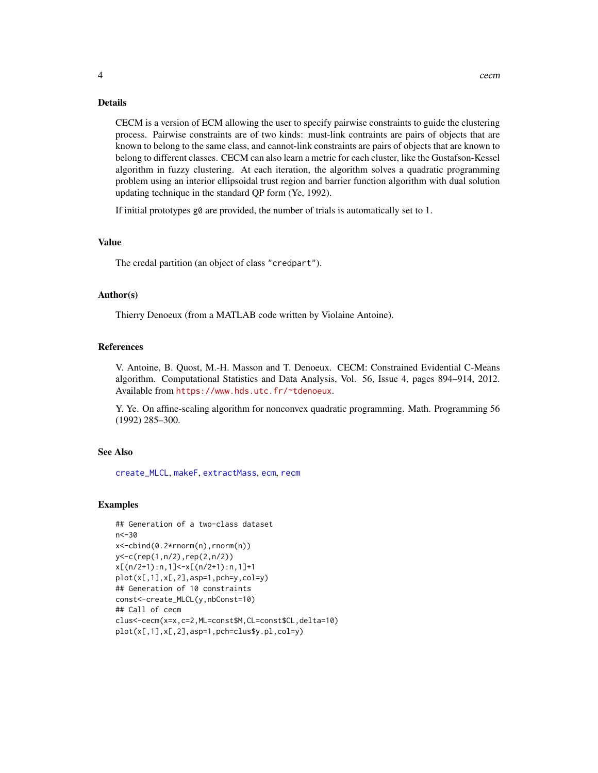<span id="page-3-0"></span>CECM is a version of ECM allowing the user to specify pairwise constraints to guide the clustering process. Pairwise constraints are of two kinds: must-link contraints are pairs of objects that are known to belong to the same class, and cannot-link constraints are pairs of objects that are known to belong to different classes. CECM can also learn a metric for each cluster, like the Gustafson-Kessel algorithm in fuzzy clustering. At each iteration, the algorithm solves a quadratic programming problem using an interior ellipsoidal trust region and barrier function algorithm with dual solution updating technique in the standard QP form (Ye, 1992).

If initial prototypes  $g\varnothing$  are provided, the number of trials is automatically set to 1.

## Value

The credal partition (an object of class "credpart").

# Author(s)

Thierry Denoeux (from a MATLAB code written by Violaine Antoine).

#### References

V. Antoine, B. Quost, M.-H. Masson and T. Denoeux. CECM: Constrained Evidential C-Means algorithm. Computational Statistics and Data Analysis, Vol. 56, Issue 4, pages 894–914, 2012. Available from <https://www.hds.utc.fr/~tdenoeux>.

Y. Ye. On affine-scaling algorithm for nonconvex quadratic programming. Math. Programming 56 (1992) 285–300.

#### See Also

[create\\_MLCL](#page-6-1), [makeF](#page-17-1), [extractMass](#page-11-1), [ecm](#page-7-1), [recm](#page-20-1)

```
## Generation of a two-class dataset
n<-30
x<-cbind(0.2*rnorm(n),rnorm(n))
y<-c(rep(1,n/2),rep(2,n/2))
x[(n/2+1):n,1]<-x[(n/2+1):n,1]+1
plot(x[,1],x[,2],asp=1,pch=y,col=y)
## Generation of 10 constraints
const<-create_MLCL(y,nbConst=10)
## Call of cecm
clus<-cecm(x=x,c=2,ML=const$M,CL=const$CL,delta=10)
plot(x[,1],x[,2],asp=1,pch=clus$y.pl,col=y)
```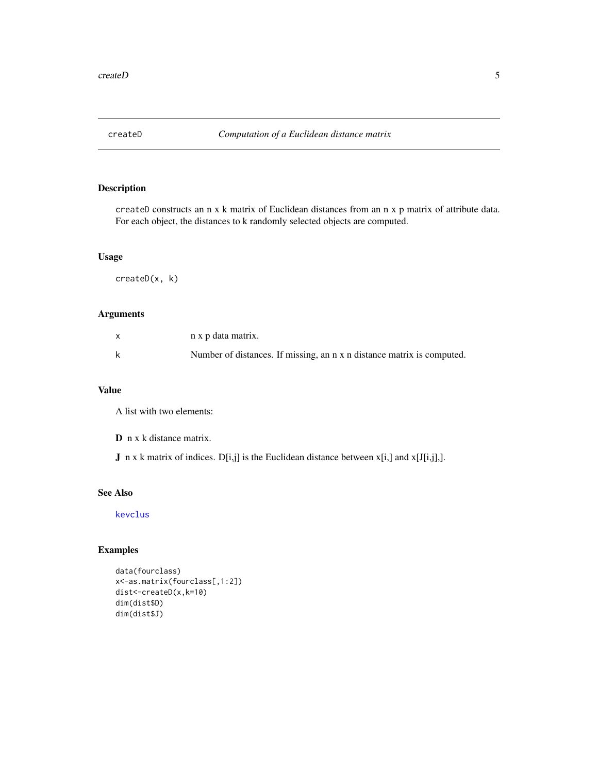<span id="page-4-1"></span><span id="page-4-0"></span>

createD constructs an n x k matrix of Euclidean distances from an n x p matrix of attribute data. For each object, the distances to k randomly selected objects are computed.

# Usage

createD(x, k)

# Arguments

| n x p data matrix.                                                     |
|------------------------------------------------------------------------|
| Number of distances. If missing, an n x n distance matrix is computed. |

# Value

A list with two elements:

D n x k distance matrix.

**J** n x k matrix of indices.  $D[i,j]$  is the Euclidean distance between  $x[i,j]$  and  $x[J[i,j],]$ .

# See Also

[kevclus](#page-14-1)

```
data(fourclass)
x<-as.matrix(fourclass[,1:2])
dist<-createD(x,k=10)
dim(dist$D)
dim(dist$J)
```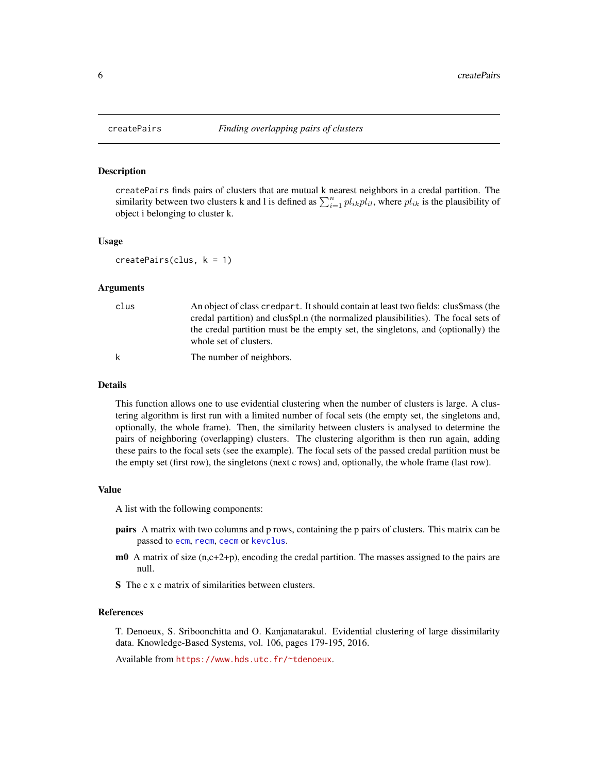<span id="page-5-0"></span>

createPairs finds pairs of clusters that are mutual k nearest neighbors in a credal partition. The similarity between two clusters k and l is defined as  $\sum_{i=1}^{n} pl_{ik}pl_{il}$ , where  $pl_{ik}$  is the plausibility of object i belonging to cluster k.

#### Usage

```
createPairs(clus, k = 1)
```
#### Arguments

| clus | An object of class credpart. It should contain at least two fields: clus\$mass (the<br>credal partition) and clus\$pl.n (the normalized plausibilities). The focal sets of<br>the credal partition must be the empty set, the singletons, and (optionally) the<br>whole set of clusters. |
|------|------------------------------------------------------------------------------------------------------------------------------------------------------------------------------------------------------------------------------------------------------------------------------------------|
|      | The number of neighbors.                                                                                                                                                                                                                                                                 |

#### Details

This function allows one to use evidential clustering when the number of clusters is large. A clustering algorithm is first run with a limited number of focal sets (the empty set, the singletons and, optionally, the whole frame). Then, the similarity between clusters is analysed to determine the pairs of neighboring (overlapping) clusters. The clustering algorithm is then run again, adding these pairs to the focal sets (see the example). The focal sets of the passed credal partition must be the empty set (first row), the singletons (next c rows) and, optionally, the whole frame (last row).

#### Value

A list with the following components:

- pairs A matrix with two columns and p rows, containing the p pairs of clusters. This matrix can be passed to [ecm](#page-7-1), [recm](#page-20-1), [cecm](#page-2-1) or [kevclus](#page-14-1).
- $m<sup>0</sup>$  A matrix of size (n,c+2+p), encoding the credal partition. The masses assigned to the pairs are null.
- S The c x c matrix of similarities between clusters.

#### References

T. Denoeux, S. Sriboonchitta and O. Kanjanatarakul. Evidential clustering of large dissimilarity data. Knowledge-Based Systems, vol. 106, pages 179-195, 2016.

Available from <https://www.hds.utc.fr/~tdenoeux>.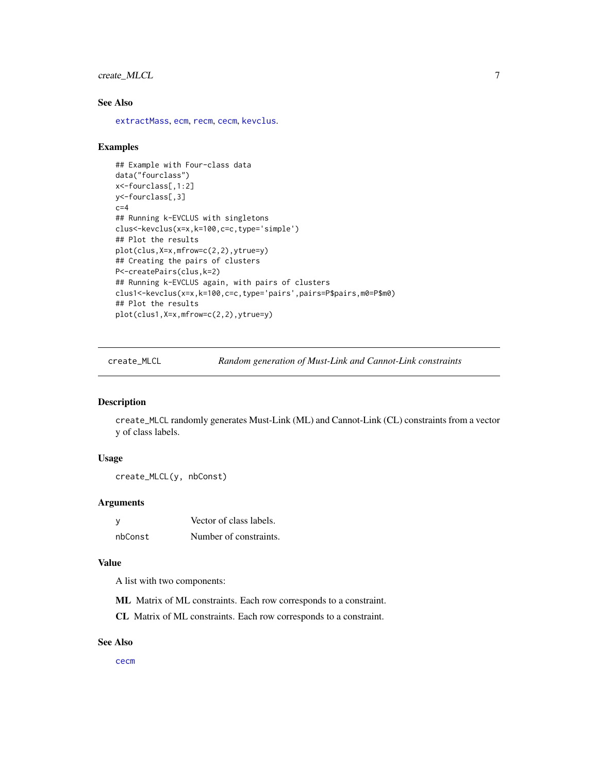# <span id="page-6-0"></span>create\_MLCL 7

# See Also

[extractMass](#page-11-1), [ecm](#page-7-1), [recm](#page-20-1), [cecm](#page-2-1), [kevclus](#page-14-1).

#### Examples

```
## Example with Four-class data
data("fourclass")
x<-fourclass[,1:2]
y<-fourclass[,3]
c=4## Running k-EVCLUS with singletons
clus<-kevclus(x=x,k=100,c=c,type='simple')
## Plot the results
plot(clus,X=x,mfrow=c(2,2),ytrue=y)
## Creating the pairs of clusters
P<-createPairs(clus,k=2)
## Running k-EVCLUS again, with pairs of clusters
clus1<-kevclus(x=x,k=100,c=c,type='pairs',pairs=P$pairs,m0=P$m0)
## Plot the results
plot(clus1,X=x,mfrow=c(2,2),ytrue=y)
```
<span id="page-6-1"></span>create\_MLCL *Random generation of Must-Link and Cannot-Link constraints*

# Description

create\_MLCL randomly generates Must-Link (ML) and Cannot-Link (CL) constraints from a vector y of class labels.

#### Usage

```
create_MLCL(y, nbConst)
```
#### Arguments

| - V     | Vector of class labels. |
|---------|-------------------------|
| nbConst | Number of constraints.  |

#### Value

A list with two components:

ML Matrix of ML constraints. Each row corresponds to a constraint.

CL Matrix of ML constraints. Each row corresponds to a constraint.

#### See Also

[cecm](#page-2-1)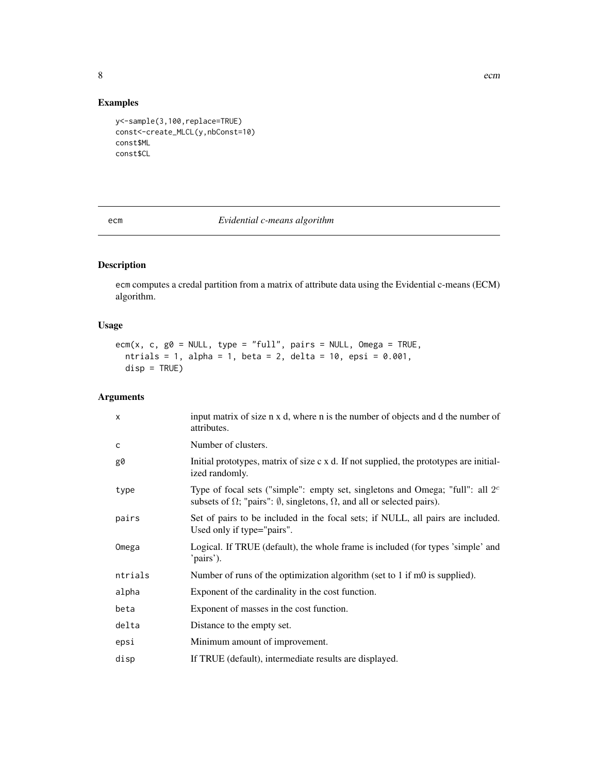<span id="page-7-0"></span>

# Examples

```
y<-sample(3,100,replace=TRUE)
const<-create_MLCL(y,nbConst=10)
const$ML
const$CL
```
# <span id="page-7-1"></span>ecm *Evidential c-means algorithm*

# Description

ecm computes a credal partition from a matrix of attribute data using the Evidential c-means (ECM) algorithm.

# Usage

```
ecm(x, c, g0 = NULL, type = "full", pairs = NULL, Omega = TRUE,
 ntrials = 1, alpha = 1, beta = 2, delta = 10, epsi = 0.001,
  disp = TRUE)
```
# Arguments

| $\times$ | input matrix of size n x d, where n is the number of objects and d the number of<br>attributes.                                                                                    |
|----------|------------------------------------------------------------------------------------------------------------------------------------------------------------------------------------|
| C        | Number of clusters.                                                                                                                                                                |
| g0       | Initial prototypes, matrix of size c x d. If not supplied, the prototypes are initial-<br>ized randomly.                                                                           |
| type     | Type of focal sets ("simple": empty set, singletons and Omega; "full": all $2c$<br>subsets of $\Omega$ ; "pairs": $\emptyset$ , singletons, $\Omega$ , and all or selected pairs). |
| pairs    | Set of pairs to be included in the focal sets; if NULL, all pairs are included.<br>Used only if type="pairs".                                                                      |
| Omega    | Logical. If TRUE (default), the whole frame is included (for types 'simple' and<br>'pairs').                                                                                       |
| ntrials  | Number of runs of the optimization algorithm (set to 1 if m0 is supplied).                                                                                                         |
| alpha    | Exponent of the cardinality in the cost function.                                                                                                                                  |
| beta     | Exponent of masses in the cost function.                                                                                                                                           |
| delta    | Distance to the empty set.                                                                                                                                                         |
| epsi     | Minimum amount of improvement.                                                                                                                                                     |
| disp     | If TRUE (default), intermediate results are displayed.                                                                                                                             |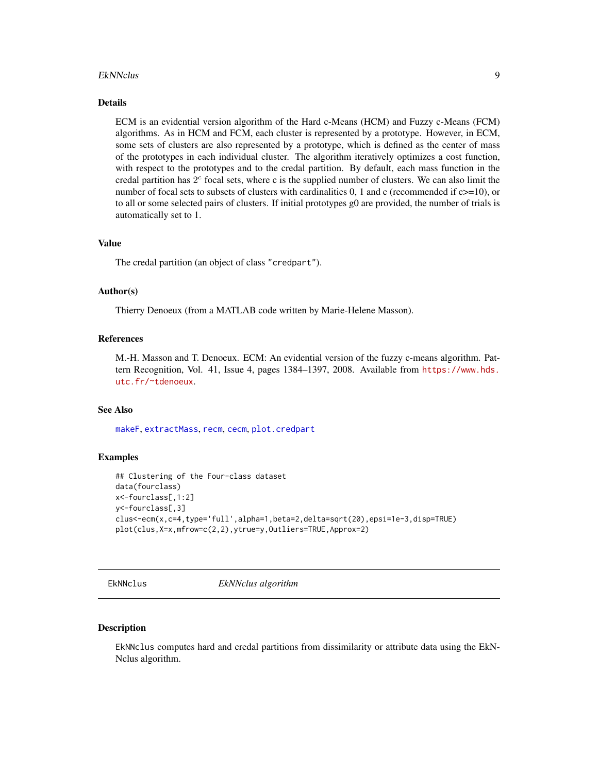#### <span id="page-8-0"></span>EkNNclus 9

# Details

ECM is an evidential version algorithm of the Hard c-Means (HCM) and Fuzzy c-Means (FCM) algorithms. As in HCM and FCM, each cluster is represented by a prototype. However, in ECM, some sets of clusters are also represented by a prototype, which is defined as the center of mass of the prototypes in each individual cluster. The algorithm iteratively optimizes a cost function, with respect to the prototypes and to the credal partition. By default, each mass function in the credal partition has  $2<sup>c</sup>$  focal sets, where c is the supplied number of clusters. We can also limit the number of focal sets to subsets of clusters with cardinalities 0, 1 and c (recommended if  $c \geq 10$ ), or to all or some selected pairs of clusters. If initial prototypes g0 are provided, the number of trials is automatically set to 1.

#### Value

The credal partition (an object of class "credpart").

#### Author(s)

Thierry Denoeux (from a MATLAB code written by Marie-Helene Masson).

# References

M.-H. Masson and T. Denoeux. ECM: An evidential version of the fuzzy c-means algorithm. Pattern Recognition, Vol. 41, Issue 4, pages 1384–1397, 2008. Available from [https://www.hds.](https://www.hds.utc.fr/~tdenoeux) [utc.fr/~tdenoeux](https://www.hds.utc.fr/~tdenoeux).

#### See Also

[makeF](#page-17-1), [extractMass](#page-11-1), [recm](#page-20-1), [cecm](#page-2-1), [plot.credpart](#page-17-2)

#### Examples

```
## Clustering of the Four-class dataset
data(fourclass)
x<-fourclass[,1:2]
y<-fourclass[,3]
clus<-ecm(x,c=4,type='full',alpha=1,beta=2,delta=sqrt(20),epsi=1e-3,disp=TRUE)
plot(clus,X=x,mfrow=c(2,2),ytrue=y,Outliers=TRUE,Approx=2)
```
<span id="page-8-1"></span>EkNNclus *EkNNclus algorithm*

#### Description

EkNNclus computes hard and credal partitions from dissimilarity or attribute data using the EkN-Nclus algorithm.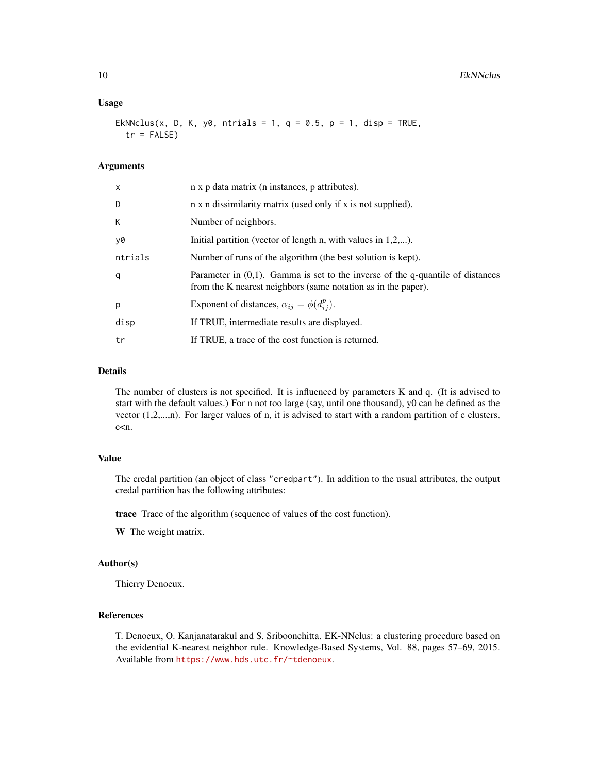#### Usage

EkNNclus(x, D, K, y0, ntrials = 1,  $q = 0.5$ ,  $p = 1$ , disp = TRUE,  $tr = FALSE$ )

# Arguments

| X       | n x p data matrix (n instances, p attributes).                                                                                                     |
|---------|----------------------------------------------------------------------------------------------------------------------------------------------------|
| D       | n x n dissimilarity matrix (used only if x is not supplied).                                                                                       |
| K.      | Number of neighbors.                                                                                                                               |
| y0      | Initial partition (vector of length n, with values in $1,2,$ ).                                                                                    |
| ntrials | Number of runs of the algorithm (the best solution is kept).                                                                                       |
| q       | Parameter in $(0,1)$ . Gamma is set to the inverse of the q-quantile of distances<br>from the K nearest neighbors (same notation as in the paper). |
| p       | Exponent of distances, $\alpha_{ij} = \phi(d_{ij}^p)$ .                                                                                            |
| disp    | If TRUE, intermediate results are displayed.                                                                                                       |
| tr      | If TRUE, a trace of the cost function is returned.                                                                                                 |

# Details

The number of clusters is not specified. It is influenced by parameters K and q. (It is advised to start with the default values.) For n not too large (say, until one thousand), y0 can be defined as the vector (1,2,...,n). For larger values of n, it is advised to start with a random partition of c clusters, c<n.

#### Value

The credal partition (an object of class "credpart"). In addition to the usual attributes, the output credal partition has the following attributes:

trace Trace of the algorithm (sequence of values of the cost function).

W The weight matrix.

# Author(s)

Thierry Denoeux.

#### References

T. Denoeux, O. Kanjanatarakul and S. Sriboonchitta. EK-NNclus: a clustering procedure based on the evidential K-nearest neighbor rule. Knowledge-Based Systems, Vol. 88, pages 57–69, 2015. Available from <https://www.hds.utc.fr/~tdenoeux>.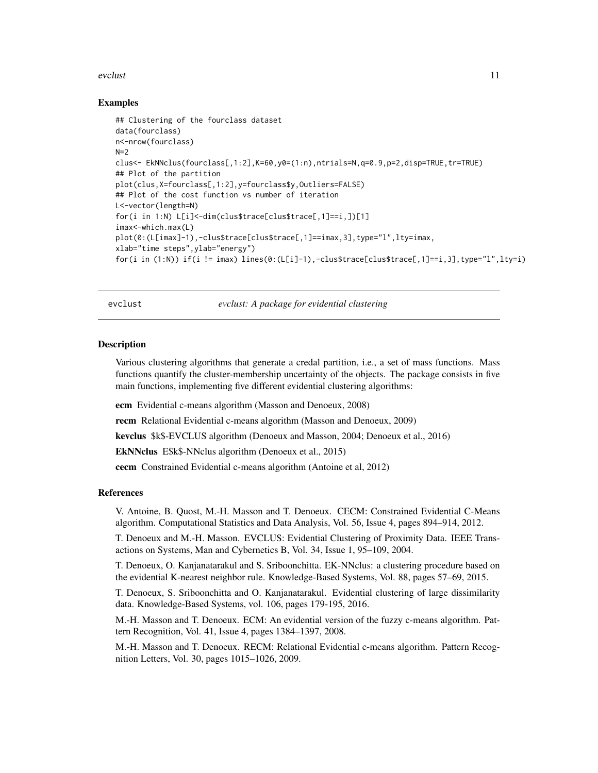#### <span id="page-10-0"></span>evclust the contract of the contract of the contract of the contract of the contract of the contract of the contract of the contract of the contract of the contract of the contract of the contract of the contract of the co

#### Examples

```
## Clustering of the fourclass dataset
data(fourclass)
n<-nrow(fourclass)
N=2clus<- EkNNclus(fourclass[,1:2],K=60,y0=(1:n),ntrials=N,q=0.9,p=2,disp=TRUE,tr=TRUE)
## Plot of the partition
plot(clus,X=fourclass[,1:2],y=fourclass$y,Outliers=FALSE)
## Plot of the cost function vs number of iteration
L<-vector(length=N)
for(i in 1:N) L[i]<-dim(clus$trace[clus$trace[,1]==i,])[1]
imax<-which.max(L)
plot(0:(L[imax]-1),-clus$trace[clus$trace[,1]==imax,3],type="l",lty=imax,
xlab="time steps",ylab="energy")
for(i in (1:N)) if(i != imax) lines(0:(L[i]-1),-clus$trace[clus$trace[,1]==i,3],type="l",lty=i)
```
evclust *evclust: A package for evidential clustering*

#### **Description**

Various clustering algorithms that generate a credal partition, i.e., a set of mass functions. Mass functions quantify the cluster-membership uncertainty of the objects. The package consists in five main functions, implementing five different evidential clustering algorithms:

ecm Evidential c-means algorithm (Masson and Denoeux, 2008)

recm Relational Evidential c-means algorithm (Masson and Denoeux, 2009)

kevclus \$k\$-EVCLUS algorithm (Denoeux and Masson, 2004; Denoeux et al., 2016)

EkNNclus E\$k\$-NNclus algorithm (Denoeux et al., 2015)

cecm Constrained Evidential c-means algorithm (Antoine et al, 2012)

# References

V. Antoine, B. Quost, M.-H. Masson and T. Denoeux. CECM: Constrained Evidential C-Means algorithm. Computational Statistics and Data Analysis, Vol. 56, Issue 4, pages 894–914, 2012.

T. Denoeux and M.-H. Masson. EVCLUS: Evidential Clustering of Proximity Data. IEEE Transactions on Systems, Man and Cybernetics B, Vol. 34, Issue 1, 95–109, 2004.

T. Denoeux, O. Kanjanatarakul and S. Sriboonchitta. EK-NNclus: a clustering procedure based on the evidential K-nearest neighbor rule. Knowledge-Based Systems, Vol. 88, pages 57–69, 2015.

T. Denoeux, S. Sriboonchitta and O. Kanjanatarakul. Evidential clustering of large dissimilarity data. Knowledge-Based Systems, vol. 106, pages 179-195, 2016.

M.-H. Masson and T. Denoeux. ECM: An evidential version of the fuzzy c-means algorithm. Pattern Recognition, Vol. 41, Issue 4, pages 1384–1397, 2008.

M.-H. Masson and T. Denoeux. RECM: Relational Evidential c-means algorithm. Pattern Recognition Letters, Vol. 30, pages 1015–1026, 2009.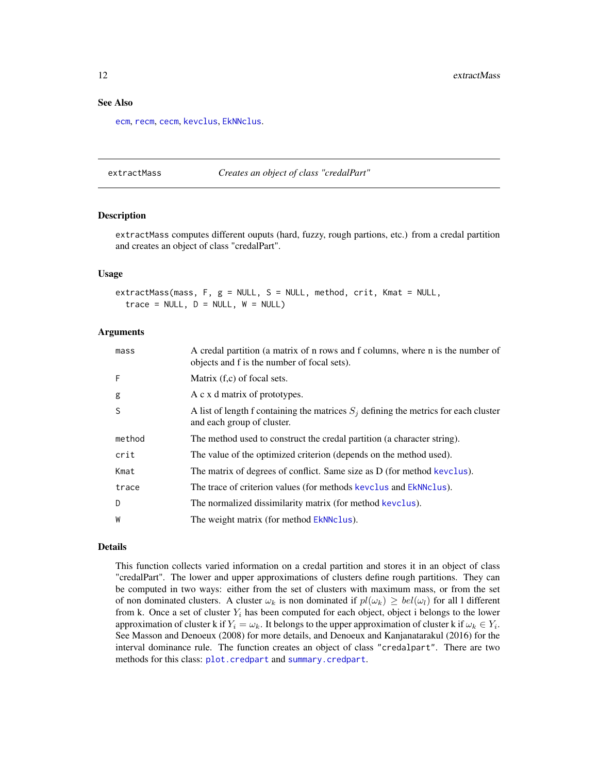#### <span id="page-11-0"></span>See Also

[ecm](#page-7-1), [recm](#page-20-1), [cecm](#page-2-1), [kevclus](#page-14-1), [EkNNclus](#page-8-1).

<span id="page-11-1"></span>extractMass *Creates an object of class "credalPart"*

#### **Description**

extractMass computes different ouputs (hard, fuzzy, rough partions, etc.) from a credal partition and creates an object of class "credalPart".

#### Usage

extractMass(mass, F, g = NULL, S = NULL, method, crit, Kmat = NULL,  $trace = NULL, D = NULL, W = NULL)$ 

#### Arguments

| mass   | A credal partition (a matrix of n rows and f columns, where n is the number of<br>objects and f is the number of focal sets). |
|--------|-------------------------------------------------------------------------------------------------------------------------------|
| F      | Matrix $(f, c)$ of focal sets.                                                                                                |
| g      | A c x d matrix of prototypes.                                                                                                 |
| S      | A list of length f containing the matrices $S_i$ defining the metrics for each cluster<br>and each group of cluster.          |
| method | The method used to construct the credal partition (a character string).                                                       |
| crit   | The value of the optimized criterion (depends on the method used).                                                            |
| Kmat   | The matrix of degrees of conflict. Same size as D (for method kevclus).                                                       |
| trace  | The trace of criterion values (for methods kevclus and EkNNclus).                                                             |
| D      | The normalized dissimilarity matrix (for method kevclus).                                                                     |
| W      | The weight matrix (for method EkNNclus).                                                                                      |

# Details

This function collects varied information on a credal partition and stores it in an object of class "credalPart". The lower and upper approximations of clusters define rough partitions. They can be computed in two ways: either from the set of clusters with maximum mass, or from the set of non dominated clusters. A cluster  $\omega_k$  is non dominated if  $pl(\omega_k) \geq bel(\omega_l)$  for all 1 different from k. Once a set of cluster  $Y_i$  has been computed for each object, object i belongs to the lower approximation of cluster k if  $Y_i = \omega_k$ . It belongs to the upper approximation of cluster k if  $\omega_k \in Y_i$ . See Masson and Denoeux (2008) for more details, and Denoeux and Kanjanatarakul (2016) for the interval dominance rule. The function creates an object of class "credalpart". There are two methods for this class: [plot.credpart](#page-17-2) and [summary.credpart](#page-22-1).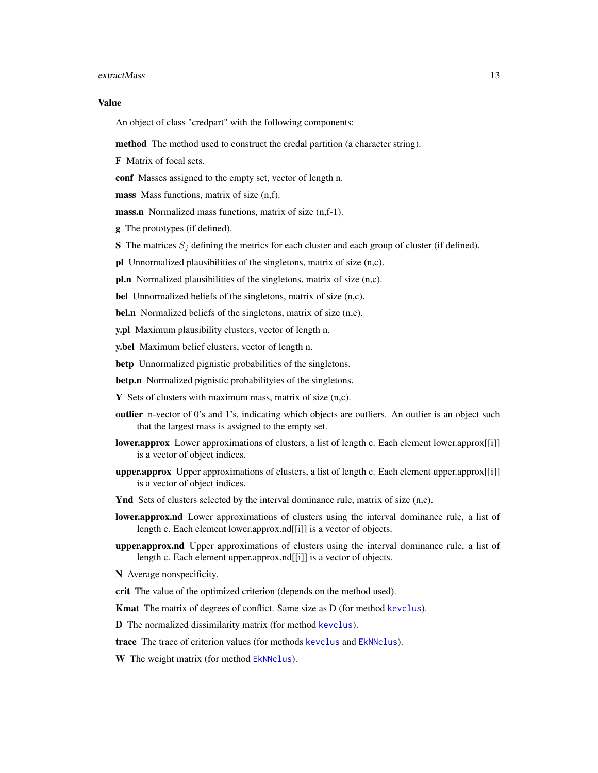#### <span id="page-12-0"></span>extractMass and the strategy of the strategy of the strategy of the strategy of the strategy of the strategy of the strategy of the strategy of the strategy of the strategy of the strategy of the strategy of the strategy o

#### Value

An object of class "credpart" with the following components:

method The method used to construct the credal partition (a character string).

F Matrix of focal sets.

conf Masses assigned to the empty set, vector of length n.

mass Mass functions, matrix of size  $(n,f)$ .

mass.n Normalized mass functions, matrix of size (n,f-1).

g The prototypes (if defined).

S The matrices  $S_j$  defining the metrics for each cluster and each group of cluster (if defined).

pl Unnormalized plausibilities of the singletons, matrix of size (n,c).

pl.n Normalized plausibilities of the singletons, matrix of size (n,c).

bel Unnormalized beliefs of the singletons, matrix of size (n,c).

bel.n Normalized beliefs of the singletons, matrix of size (n,c).

y.pl Maximum plausibility clusters, vector of length n.

y.bel Maximum belief clusters, vector of length n.

betp Unnormalized pignistic probabilities of the singletons.

betp.n Normalized pignistic probabilityies of the singletons.

**Y** Sets of clusters with maximum mass, matrix of size  $(n,c)$ .

- outlier n-vector of 0's and 1's, indicating which objects are outliers. An outlier is an object such that the largest mass is assigned to the empty set.
- **lower.approx** Lower approximations of clusters, a list of length c. Each element lower.approx[[i]] is a vector of object indices.
- upper.approx Upper approximations of clusters, a list of length c. Each element upper.approx[[i]] is a vector of object indices.
- Ynd Sets of clusters selected by the interval dominance rule, matrix of size (n,c).
- lower.approx.nd Lower approximations of clusters using the interval dominance rule, a list of length c. Each element lower.approx.nd[[i]] is a vector of objects.
- upper.approx.nd Upper approximations of clusters using the interval dominance rule, a list of length c. Each element upper.approx.nd[[i]] is a vector of objects.

N Average nonspecificity.

crit The value of the optimized criterion (depends on the method used).

Kmat The matrix of degrees of conflict. Same size as D (for method [kevclus](#page-14-1)).

D The normalized dissimilarity matrix (for method [kevclus](#page-14-1)).

trace The trace of criterion values (for methods [kevclus](#page-14-1) and [EkNNclus](#page-8-1)).

W The weight matrix (for method [EkNNclus](#page-8-1)).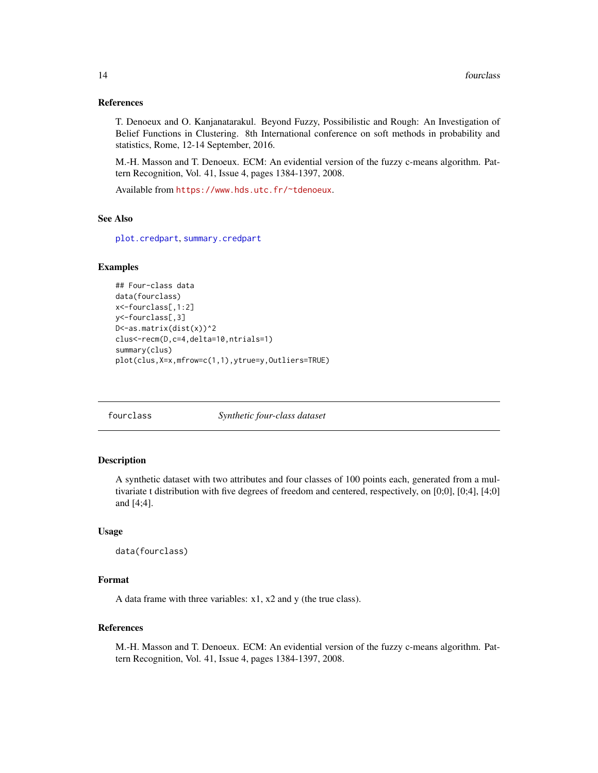#### <span id="page-13-0"></span>References

T. Denoeux and O. Kanjanatarakul. Beyond Fuzzy, Possibilistic and Rough: An Investigation of Belief Functions in Clustering. 8th International conference on soft methods in probability and statistics, Rome, 12-14 September, 2016.

M.-H. Masson and T. Denoeux. ECM: An evidential version of the fuzzy c-means algorithm. Pattern Recognition, Vol. 41, Issue 4, pages 1384-1397, 2008.

Available from <https://www.hds.utc.fr/~tdenoeux>.

#### See Also

[plot.credpart](#page-17-2), [summary.credpart](#page-22-1)

#### Examples

```
## Four-class data
data(fourclass)
x<-fourclass[,1:2]
y<-fourclass[,3]
D<-as.matrix(dist(x))^2
clus<-recm(D,c=4,delta=10,ntrials=1)
summary(clus)
plot(clus,X=x,mfrow=c(1,1),ytrue=y,Outliers=TRUE)
```
fourclass *Synthetic four-class dataset*

#### Description

A synthetic dataset with two attributes and four classes of 100 points each, generated from a multivariate t distribution with five degrees of freedom and centered, respectively, on [0;0], [0;4], [4;0] and [4;4].

#### Usage

```
data(fourclass)
```
## Format

A data frame with three variables: x1, x2 and y (the true class).

# References

M.-H. Masson and T. Denoeux. ECM: An evidential version of the fuzzy c-means algorithm. Pattern Recognition, Vol. 41, Issue 4, pages 1384-1397, 2008.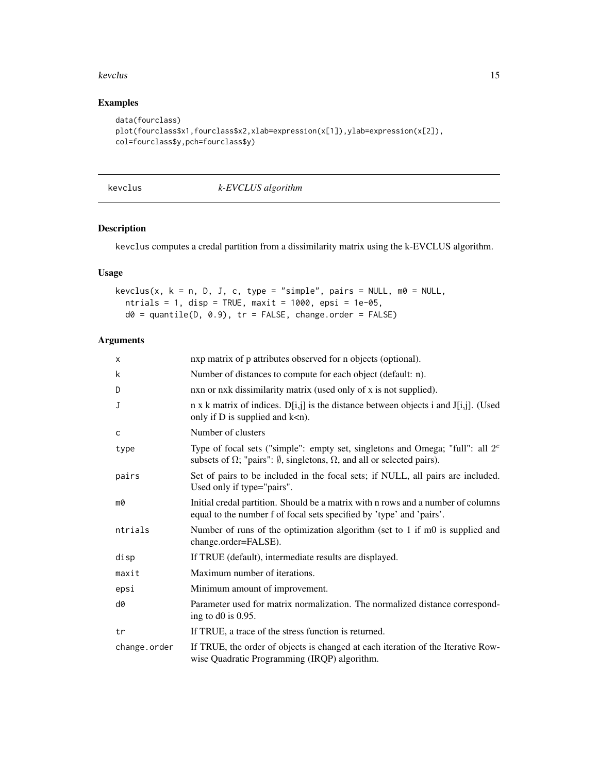#### <span id="page-14-0"></span>kevclus and the set of the set of the set of the set of the set of the set of the set of the set of the set of the set of the set of the set of the set of the set of the set of the set of the set of the set of the set of t

# Examples

```
data(fourclass)
plot(fourclass$x1,fourclass$x2,xlab=expression(x[1]),ylab=expression(x[2]),
col=fourclass$y,pch=fourclass$y)
```
<span id="page-14-1"></span>

| kevclus |  |  |
|---------|--|--|
|         |  |  |

kevclus *k-EVCLUS algorithm*

# Description

kevclus computes a credal partition from a dissimilarity matrix using the k-EVCLUS algorithm.

# Usage

```
kevclus(x, k = n, D, J, c, type = "simple", pairs = NULL, m0 = NULL,
 ntrials = 1, disp = TRUE, maxit = 1000, epsi = 1e-05,
 d0 = quantile(D, 0.9), tr = FALSE, change.order = FALSE)
```
# Arguments

| X            | nxp matrix of p attributes observed for n objects (optional).                                                                                                                      |
|--------------|------------------------------------------------------------------------------------------------------------------------------------------------------------------------------------|
| k            | Number of distances to compute for each object (default: n).                                                                                                                       |
| D            | nxn or nxk dissimilarity matrix (used only of x is not supplied).                                                                                                                  |
| J            | $n \times k$ matrix of indices. $D[i,j]$ is the distance between objects i and J[i,j]. (Used<br>only if $D$ is supplied and $k < n$ ).                                             |
| C            | Number of clusters                                                                                                                                                                 |
| type         | Type of focal sets ("simple": empty set, singletons and Omega; "full": all $2c$<br>subsets of $\Omega$ ; "pairs": $\emptyset$ , singletons, $\Omega$ , and all or selected pairs). |
| pairs        | Set of pairs to be included in the focal sets; if NULL, all pairs are included.<br>Used only if type="pairs".                                                                      |
| m0           | Initial credal partition. Should be a matrix with n rows and a number of columns<br>equal to the number f of focal sets specified by 'type' and 'pairs'.                           |
| ntrials      | Number of runs of the optimization algorithm (set to 1 if m0 is supplied and<br>change.order=FALSE).                                                                               |
| disp         | If TRUE (default), intermediate results are displayed.                                                                                                                             |
| maxit        | Maximum number of iterations.                                                                                                                                                      |
| epsi         | Minimum amount of improvement.                                                                                                                                                     |
| d0           | Parameter used for matrix normalization. The normalized distance correspond-<br>ing to $d0$ is 0.95.                                                                               |
| tr           | If TRUE, a trace of the stress function is returned.                                                                                                                               |
| change.order | If TRUE, the order of objects is changed at each iteration of the Iterative Row-<br>wise Quadratic Programming (IRQP) algorithm.                                                   |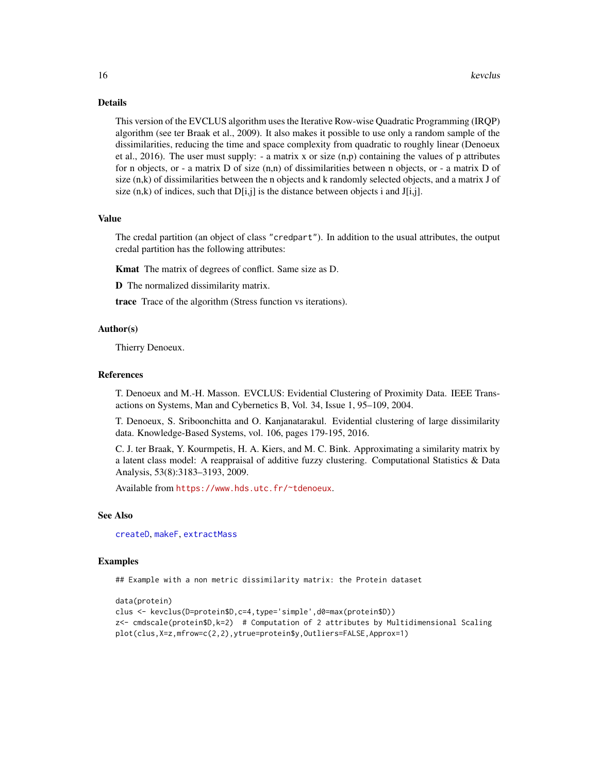#### Details

This version of the EVCLUS algorithm uses the Iterative Row-wise Quadratic Programming (IRQP) algorithm (see ter Braak et al., 2009). It also makes it possible to use only a random sample of the dissimilarities, reducing the time and space complexity from quadratic to roughly linear (Denoeux et al., 2016). The user must supply:  $-$  a matrix x or size  $(n,p)$  containing the values of p attributes for n objects, or - a matrix D of size (n,n) of dissimilarities between n objects, or - a matrix D of size (n,k) of dissimilarities between the n objects and k randomly selected objects, and a matrix J of size  $(n,k)$  of indices, such that  $D[i,j]$  is the distance between objects i and  $J[i,j]$ .

#### Value

The credal partition (an object of class "credpart"). In addition to the usual attributes, the output credal partition has the following attributes:

Kmat The matrix of degrees of conflict. Same size as D.

D The normalized dissimilarity matrix.

trace Trace of the algorithm (Stress function vs iterations).

#### Author(s)

Thierry Denoeux.

# References

T. Denoeux and M.-H. Masson. EVCLUS: Evidential Clustering of Proximity Data. IEEE Transactions on Systems, Man and Cybernetics B, Vol. 34, Issue 1, 95–109, 2004.

T. Denoeux, S. Sriboonchitta and O. Kanjanatarakul. Evidential clustering of large dissimilarity data. Knowledge-Based Systems, vol. 106, pages 179-195, 2016.

C. J. ter Braak, Y. Kourmpetis, H. A. Kiers, and M. C. Bink. Approximating a similarity matrix by a latent class model: A reappraisal of additive fuzzy clustering. Computational Statistics & Data Analysis, 53(8):3183–3193, 2009.

Available from <https://www.hds.utc.fr/~tdenoeux>.

#### See Also

[createD](#page-4-1), [makeF](#page-17-1), [extractMass](#page-11-1)

#### Examples

## Example with a non metric dissimilarity matrix: the Protein dataset

```
data(protein)
clus <- kevclus(D=protein$D,c=4,type='simple',d0=max(protein$D))
z <- cmdscale(protein$D,k=2) # Computation of 2 attributes by Multidimensional Scaling
plot(clus,X=z,mfrow=c(2,2),ytrue=protein$y,Outliers=FALSE,Approx=1)
```
<span id="page-15-0"></span>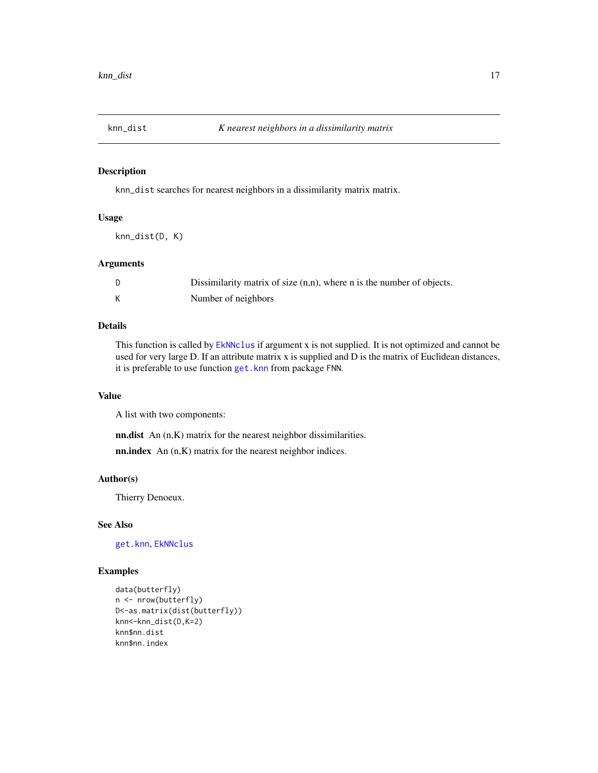<span id="page-16-0"></span>

knn\_dist searches for nearest neighbors in a dissimilarity matrix matrix.

#### Usage

knn\_dist(D, K)

# Arguments

| Dissimilarity matrix of size $(n,n)$ , where n is the number of objects. |
|--------------------------------------------------------------------------|
| Number of neighbors                                                      |

#### Details

This function is called by [EkNNclus](#page-8-1) if argument x is not supplied. It is not optimized and cannot be used for very large D. If an attribute matrix x is supplied and D is the matrix of Euclidean distances, it is preferable to use function [get.knn](#page-0-0) from package FNN.

#### Value

A list with two components:

nn.dist An (n,K) matrix for the nearest neighbor dissimilarities.

nn.index An (n,K) matrix for the nearest neighbor indices.

#### Author(s)

Thierry Denoeux.

#### See Also

[get.knn](#page-0-0), [EkNNclus](#page-8-1)

```
data(butterfly)
n <- nrow(butterfly)
D<-as.matrix(dist(butterfly))
knn<-knn_dist(D,K=2)
knn$nn.dist
knn$nn.index
```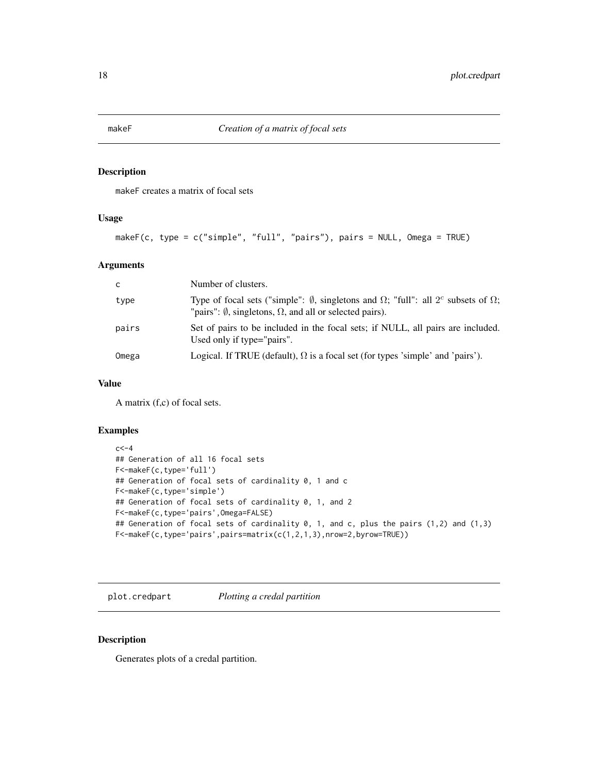<span id="page-17-1"></span><span id="page-17-0"></span>makeF creates a matrix of focal sets

#### Usage

```
makeF(c, type = c("simple", "full", "pairs"), pairs = NULL, Omega = TRUE)
```
# Arguments

| - C   | Number of clusters.                                                                                                                                                                        |
|-------|--------------------------------------------------------------------------------------------------------------------------------------------------------------------------------------------|
| type  | Type of focal sets ("simple": $\emptyset$ , singletons and $\Omega$ ; "full": all $2^c$ subsets of $\Omega$ ;<br>"pairs": $\emptyset$ , singletons, $\Omega$ , and all or selected pairs). |
| pairs | Set of pairs to be included in the focal sets; if NULL, all pairs are included.<br>Used only if type="pairs".                                                                              |
| Omega | Logical. If TRUE (default), $\Omega$ is a focal set (for types 'simple' and 'pairs').                                                                                                      |

#### Value

A matrix (f,c) of focal sets.

# Examples

```
c < -4## Generation of all 16 focal sets
F<-makeF(c,type='full')
## Generation of focal sets of cardinality 0, 1 and c
F<-makeF(c,type='simple')
## Generation of focal sets of cardinality 0, 1, and 2
F<-makeF(c,type='pairs',Omega=FALSE)
## Generation of focal sets of cardinality 0, 1, and c, plus the pairs (1,2) and (1,3)
F<-makeF(c,type='pairs',pairs=matrix(c(1,2,1,3),nrow=2,byrow=TRUE))
```
<span id="page-17-2"></span>plot.credpart *Plotting a credal partition*

# Description

Generates plots of a credal partition.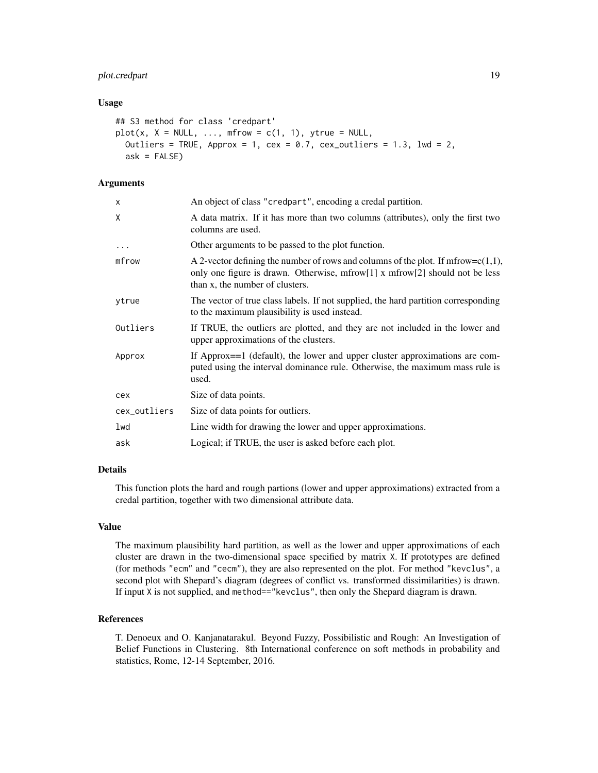# plot.credpart 19

#### Usage

```
## S3 method for class 'credpart'
plot(x, X = NULL, ..., mfrow = c(1, 1), ytrue = NULL,
 Outliers = TRUE, Approx = 1, cex = 0.7, cex_outliers = 1.3, lwd = 2,
  ask = FALSE)
```
# **Arguments**

| X            | An object of class "credpart", encoding a credal partition.                                                                                                                                            |
|--------------|--------------------------------------------------------------------------------------------------------------------------------------------------------------------------------------------------------|
| X            | A data matrix. If it has more than two columns (attributes), only the first two<br>columns are used.                                                                                                   |
| $\cdots$     | Other arguments to be passed to the plot function.                                                                                                                                                     |
| mfrow        | A 2-vector defining the number of rows and columns of the plot. If mfrow= $c(1,1)$ ,<br>only one figure is drawn. Otherwise, mfrow[1] x mfrow[2] should not be less<br>than x, the number of clusters. |
| ytrue        | The vector of true class labels. If not supplied, the hard partition corresponding<br>to the maximum plausibility is used instead.                                                                     |
| Outliers     | If TRUE, the outliers are plotted, and they are not included in the lower and<br>upper approximations of the clusters.                                                                                 |
| Approx       | If Approx==1 (default), the lower and upper cluster approximations are com-<br>puted using the interval dominance rule. Otherwise, the maximum mass rule is<br>used.                                   |
| cex          | Size of data points.                                                                                                                                                                                   |
| cex_outliers | Size of data points for outliers.                                                                                                                                                                      |
| lwd          | Line width for drawing the lower and upper approximations.                                                                                                                                             |
| ask          | Logical; if TRUE, the user is asked before each plot.                                                                                                                                                  |

# Details

This function plots the hard and rough partions (lower and upper approximations) extracted from a credal partition, together with two dimensional attribute data.

# Value

The maximum plausibility hard partition, as well as the lower and upper approximations of each cluster are drawn in the two-dimensional space specified by matrix X. If prototypes are defined (for methods "ecm" and "cecm"), they are also represented on the plot. For method "kevclus", a second plot with Shepard's diagram (degrees of conflict vs. transformed dissimilarities) is drawn. If input X is not supplied, and method=="kevclus", then only the Shepard diagram is drawn.

# References

T. Denoeux and O. Kanjanatarakul. Beyond Fuzzy, Possibilistic and Rough: An Investigation of Belief Functions in Clustering. 8th International conference on soft methods in probability and statistics, Rome, 12-14 September, 2016.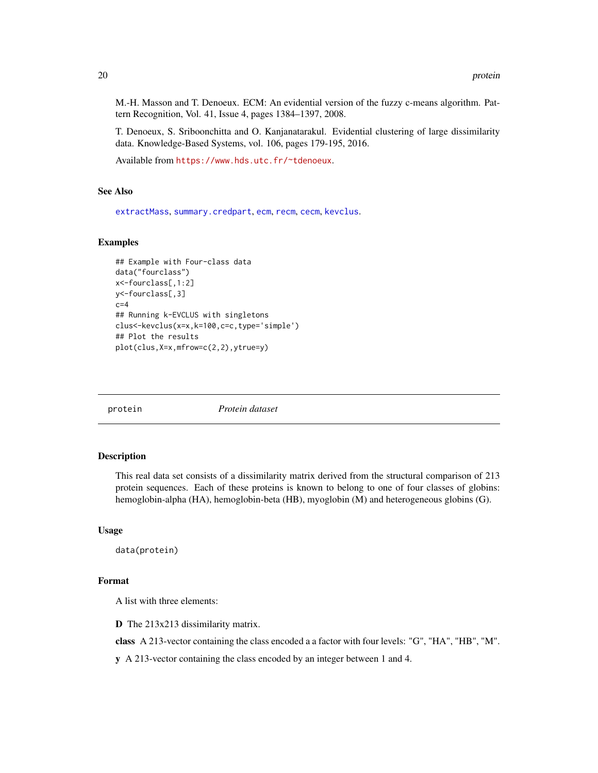<span id="page-19-0"></span>M.-H. Masson and T. Denoeux. ECM: An evidential version of the fuzzy c-means algorithm. Pattern Recognition, Vol. 41, Issue 4, pages 1384–1397, 2008.

T. Denoeux, S. Sriboonchitta and O. Kanjanatarakul. Evidential clustering of large dissimilarity data. Knowledge-Based Systems, vol. 106, pages 179-195, 2016.

Available from <https://www.hds.utc.fr/~tdenoeux>.

# See Also

[extractMass](#page-11-1), [summary.credpart](#page-22-1), [ecm](#page-7-1), [recm](#page-20-1), [cecm](#page-2-1), [kevclus](#page-14-1).

#### Examples

```
## Example with Four-class data
data("fourclass")
x<-fourclass[,1:2]
y<-fourclass[,3]
c=4## Running k-EVCLUS with singletons
clus<-kevclus(x=x,k=100,c=c,type='simple')
## Plot the results
plot(clus,X=x,mfrow=c(2,2),ytrue=y)
```
protein *Protein dataset*

#### Description

This real data set consists of a dissimilarity matrix derived from the structural comparison of 213 protein sequences. Each of these proteins is known to belong to one of four classes of globins: hemoglobin-alpha (HA), hemoglobin-beta (HB), myoglobin (M) and heterogeneous globins (G).

#### Usage

data(protein)

#### Format

A list with three elements:

D The 213x213 dissimilarity matrix.

class A 213-vector containing the class encoded a a factor with four levels: "G", "HA", "HB", "M".

y A 213-vector containing the class encoded by an integer between 1 and 4.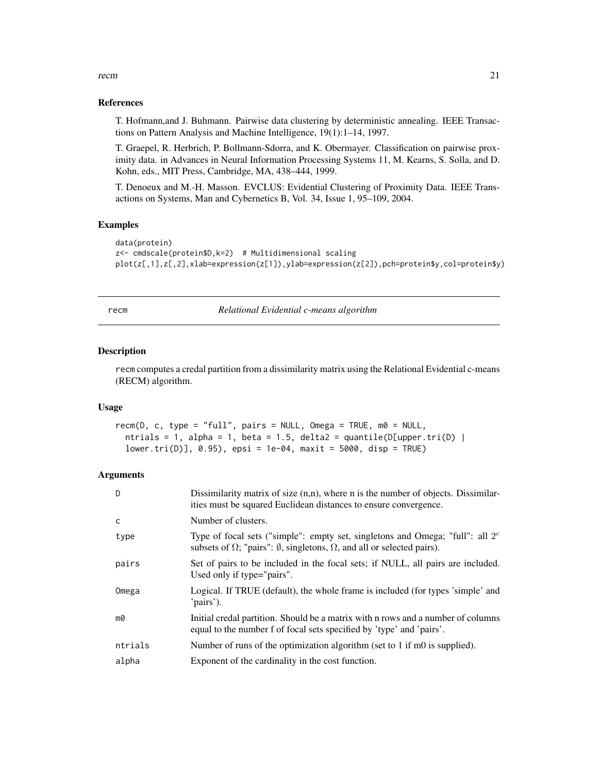#### <span id="page-20-0"></span>recm 21

### References

T. Hofmann,and J. Buhmann. Pairwise data clustering by deterministic annealing. IEEE Transactions on Pattern Analysis and Machine Intelligence, 19(1):1–14, 1997.

T. Graepel, R. Herbrich, P. Bollmann-Sdorra, and K. Obermayer. Classification on pairwise proximity data. in Advances in Neural Information Processing Systems 11, M. Kearns, S. Solla, and D. Kohn, eds., MIT Press, Cambridge, MA, 438–444, 1999.

T. Denoeux and M.-H. Masson. EVCLUS: Evidential Clustering of Proximity Data. IEEE Transactions on Systems, Man and Cybernetics B, Vol. 34, Issue 1, 95–109, 2004.

# Examples

```
data(protein)
z<- cmdscale(protein$D,k=2) # Multidimensional scaling
plot(z[,1],z[,2],xlab=expression(z[1]),ylab=expression(z[2]),pch=protein$y,col=protein$y)
```
<span id="page-20-1"></span>recm *Relational Evidential c-means algorithm*

#### Description

recm computes a credal partition from a dissimilarity matrix using the Relational Evidential c-means (RECM) algorithm.

#### Usage

```
recm(D, c, type = "full", pairs = NULL, Omega = TRUE, m0 = NULL,
 ntrials = 1, alpha = 1, beta = 1.5, delta2 = quantile(D[upper.tri(D) |lower.tri(D)], 0.95), epsi = 1e-04, maxit = 5000, disp = TRUE)
```
#### Arguments

| D       | Dissimilarity matrix of size $(n,n)$ , where n is the number of objects. Dissimilar-<br>ities must be squared Euclidean distances to ensure convergence.                           |
|---------|------------------------------------------------------------------------------------------------------------------------------------------------------------------------------------|
| C       | Number of clusters.                                                                                                                                                                |
| type    | Type of focal sets ("simple": empty set, singletons and Omega; "full": all $2c$<br>subsets of $\Omega$ ; "pairs": $\emptyset$ , singletons, $\Omega$ , and all or selected pairs). |
| pairs   | Set of pairs to be included in the focal sets; if NULL, all pairs are included.<br>Used only if type="pairs".                                                                      |
| Omega   | Logical. If TRUE (default), the whole frame is included (for types 'simple' and<br>'pairs').                                                                                       |
| m0      | Initial credal partition. Should be a matrix with n rows and a number of columns<br>equal to the number f of focal sets specified by 'type' and 'pairs'.                           |
| ntrials | Number of runs of the optimization algorithm (set to 1 if m0 is supplied).                                                                                                         |
| alpha   | Exponent of the cardinality in the cost function.                                                                                                                                  |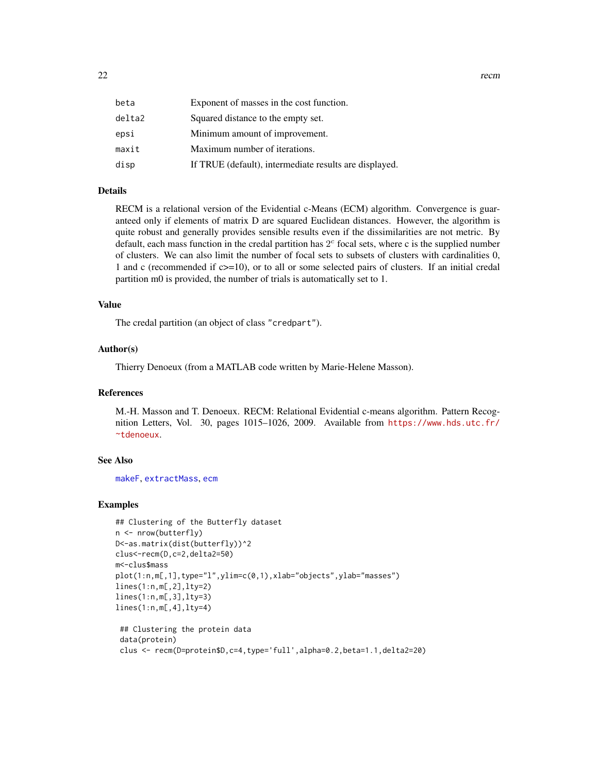<span id="page-21-0"></span>

| beta   | Exponent of masses in the cost function.               |
|--------|--------------------------------------------------------|
| delta2 | Squared distance to the empty set.                     |
| epsi   | Minimum amount of improvement.                         |
| maxit  | Maximum number of iterations.                          |
| disp   | If TRUE (default), intermediate results are displayed. |

#### Details

RECM is a relational version of the Evidential c-Means (ECM) algorithm. Convergence is guaranteed only if elements of matrix D are squared Euclidean distances. However, the algorithm is quite robust and generally provides sensible results even if the dissimilarities are not metric. By default, each mass function in the credal partition has  $2<sup>c</sup>$  focal sets, where c is the supplied number of clusters. We can also limit the number of focal sets to subsets of clusters with cardinalities 0, 1 and c (recommended if c>=10), or to all or some selected pairs of clusters. If an initial credal partition m0 is provided, the number of trials is automatically set to 1.

# Value

The credal partition (an object of class "credpart").

#### Author(s)

Thierry Denoeux (from a MATLAB code written by Marie-Helene Masson).

# References

M.-H. Masson and T. Denoeux. RECM: Relational Evidential c-means algorithm. Pattern Recognition Letters, Vol. 30, pages 1015–1026, 2009. Available from [https://www.hds.utc.fr/](https://www.hds.utc.fr/~tdenoeux) [~tdenoeux](https://www.hds.utc.fr/~tdenoeux).

#### See Also

[makeF](#page-17-1), [extractMass](#page-11-1), [ecm](#page-7-1)

```
## Clustering of the Butterfly dataset
n <- nrow(butterfly)
D<-as.matrix(dist(butterfly))^2
clus<-recm(D,c=2,delta2=50)
m<-clus$mass
plot(1:n,m[,1],type="l",ylim=c(0,1),xlab="objects",ylab="masses")
lines(1:n,m[,2],lty=2)
lines(1:n,m[,3],lty=3)
lines(1:n,m[,4],lty=4)
 ## Clustering the protein data
 data(protein)
```

```
clus <- recm(D=protein$D,c=4,type='full',alpha=0.2,beta=1.1,delta2=20)
```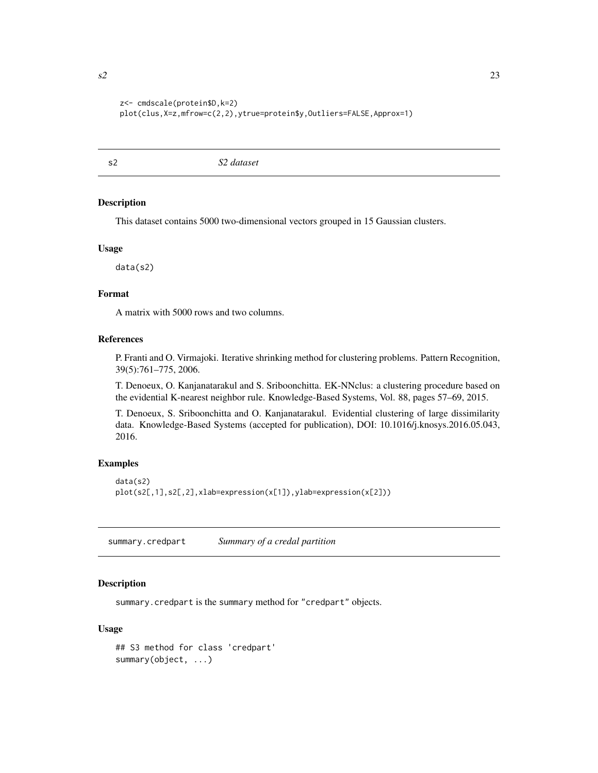```
z<- cmdscale(protein$D,k=2)
plot(clus,X=z,mfrow=c(2,2),ytrue=protein$y,Outliers=FALSE,Approx=1)
```
s2 *S2 dataset*

#### Description

This dataset contains 5000 two-dimensional vectors grouped in 15 Gaussian clusters.

#### Usage

data(s2)

#### Format

A matrix with 5000 rows and two columns.

#### References

P. Franti and O. Virmajoki. Iterative shrinking method for clustering problems. Pattern Recognition, 39(5):761–775, 2006.

T. Denoeux, O. Kanjanatarakul and S. Sriboonchitta. EK-NNclus: a clustering procedure based on the evidential K-nearest neighbor rule. Knowledge-Based Systems, Vol. 88, pages 57–69, 2015.

T. Denoeux, S. Sriboonchitta and O. Kanjanatarakul. Evidential clustering of large dissimilarity data. Knowledge-Based Systems (accepted for publication), DOI: 10.1016/j.knosys.2016.05.043, 2016.

#### Examples

```
data(s2)
plot(s2[,1],s2[,2],xlab=expression(x[1]),ylab=expression(x[2]))
```
<span id="page-22-1"></span>summary.credpart *Summary of a credal partition*

# Description

summary.credpart is the summary method for "credpart" objects.

## Usage

```
## S3 method for class 'credpart'
summary(object, ...)
```
<span id="page-22-0"></span>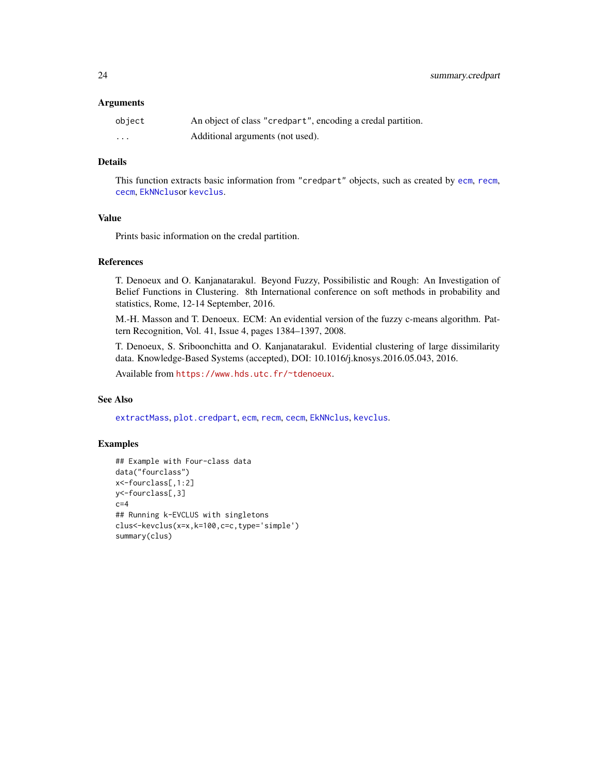#### <span id="page-23-0"></span>**Arguments**

| object   | An object of class "credpart", encoding a credal partition. |
|----------|-------------------------------------------------------------|
| $\cdots$ | Additional arguments (not used).                            |

# Details

This function extracts basic information from "credpart" objects, such as created by [ecm](#page-7-1), [recm](#page-20-1), [cecm](#page-2-1), [EkNNclus](#page-8-1)or [kevclus](#page-14-1).

# Value

Prints basic information on the credal partition.

#### References

T. Denoeux and O. Kanjanatarakul. Beyond Fuzzy, Possibilistic and Rough: An Investigation of Belief Functions in Clustering. 8th International conference on soft methods in probability and statistics, Rome, 12-14 September, 2016.

M.-H. Masson and T. Denoeux. ECM: An evidential version of the fuzzy c-means algorithm. Pattern Recognition, Vol. 41, Issue 4, pages 1384–1397, 2008.

T. Denoeux, S. Sriboonchitta and O. Kanjanatarakul. Evidential clustering of large dissimilarity data. Knowledge-Based Systems (accepted), DOI: 10.1016/j.knosys.2016.05.043, 2016.

Available from <https://www.hds.utc.fr/~tdenoeux>.

#### See Also

[extractMass](#page-11-1), [plot.credpart](#page-17-2), [ecm](#page-7-1), [recm](#page-20-1), [cecm](#page-2-1), [EkNNclus](#page-8-1), [kevclus](#page-14-1).

```
## Example with Four-class data
data("fourclass")
x<-fourclass[,1:2]
y<-fourclass[,3]
c=4## Running k-EVCLUS with singletons
clus<-kevclus(x=x,k=100,c=c,type='simple')
summary(clus)
```